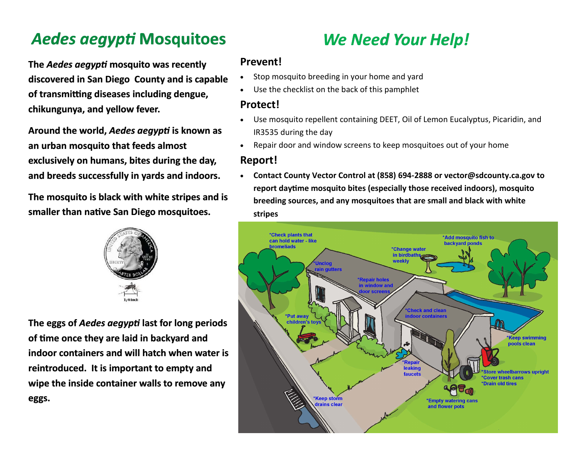## *Aedes aegypti* **Mosquitoes**

**The** *Aedes aegypti* **mosquito was recently discovered in San Diego County and is capable of transmitting diseases including dengue, chikungunya, and yellow fever.**

**Around the world,** *Aedes aegypti* **is known as an urban mosquito that feeds almost exclusively on humans, bites during the day, and breeds successfully in yards and indoors.** 

**The mosquito is black with white stripes and is smaller than native San Diego mosquitoes.**



**The eggs of** *Aedes aegypti* **last for long periods of time once they are laid in backyard and indoor containers and will hatch when water is reintroduced. It is important to empty and wipe the inside container walls to remove any eggs.**

# *We Need Your Help!*

### **Prevent!**

- Stop mosquito breeding in your home and yard
- Use the checklist on the back of this pamphlet

## **Protect!**

- Use mosquito repellent containing DEET, Oil of Lemon Eucalyptus, Picaridin, and IR3535 during the day
- Repair door and window screens to keep mosquitoes out of your home

## **Report!**

 **Contact County Vector Control at (858) 694-2888 or vector@sdcounty.ca.gov to report daytime mosquito bites (especially those received indoors), mosquito breeding sources, and any mosquitoes that are small and black with white stripes**